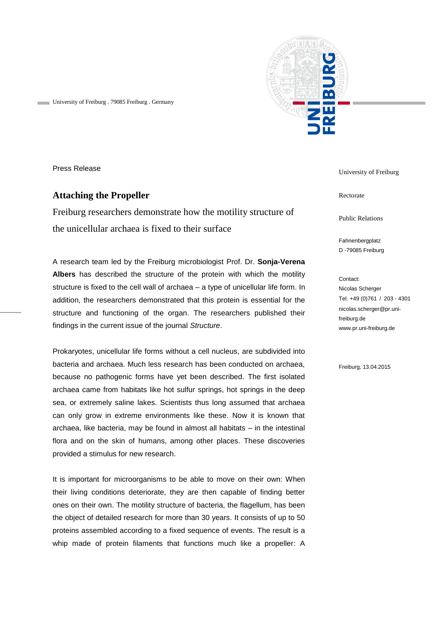

University of Freiburg . 79085 Freiburg . Germany

Press Release

## **Attaching the Propeller**

Freiburg researchers demonstrate how the motility structure of the unicellular archaea is fixed to their surface

A research team led by the Freiburg microbiologist Prof. Dr. **Sonja-Verena Albers** has described the structure of the protein with which the motility structure is fixed to the cell wall of archaea – a type of unicellular life form. In addition, the researchers demonstrated that this protein is essential for the structure and functioning of the organ. The researchers published their findings in the current issue of the journal *Structure*.

Prokaryotes, unicellular life forms without a cell nucleus, are subdivided into bacteria and archaea. Much less research has been conducted on archaea, because no pathogenic forms have yet been described. The first isolated archaea came from habitats like hot sulfur springs, hot springs in the deep sea, or extremely saline lakes. Scientists thus long assumed that archaea can only grow in extreme environments like these. Now it is known that archaea, like bacteria, may be found in almost all habitats – in the intestinal flora and on the skin of humans, among other places. These discoveries provided a stimulus for new research.

It is important for microorganisms to be able to move on their own: When their living conditions deteriorate, they are then capable of finding better ones on their own. The motility structure of bacteria, the flagellum, has been the object of detailed research for more than 30 years. It consists of up to 50 proteins assembled according to a fixed sequence of events. The result is a whip made of protein filaments that functions much like a propeller: A

University of Freiburg

Rectorate

Public Relations

Fahnenbergplatz D -79085 Freiburg

Contact: Nicolas Scherger Tel. +49 (0)761 / 203 - 4301 nicolas.scherger@pr.unifreiburg.de www.pr.uni-freiburg.de

Freiburg, 13.04.2015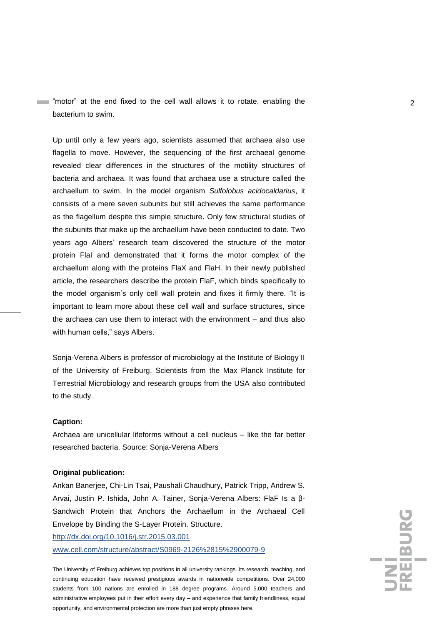"motor" at the end fixed to the cell wall allows it to rotate, enabling the 2 bacterium to swim.

Up until only a few years ago, scientists assumed that archaea also use flagella to move. However, the sequencing of the first archaeal genome revealed clear differences in the structures of the motility structures of bacteria and archaea. It was found that archaea use a structure called the archaellum to swim. In the model organism *Sulfolobus acidocaldarius*, it consists of a mere seven subunits but still achieves the same performance as the flagellum despite this simple structure. Only few structural studies of the subunits that make up the archaellum have been conducted to date. Two years ago Albers' research team discovered the structure of the motor protein FlaI and demonstrated that it forms the motor complex of the archaellum along with the proteins FlaX and FlaH. In their newly published article, the researchers describe the protein FlaF, which binds specifically to the model organism's only cell wall protein and fixes it firmly there. "It is important to learn more about these cell wall and surface structures, since the archaea can use them to interact with the environment – and thus also with human cells," says Albers.

Sonja-Verena Albers is professor of microbiology at the Institute of Biology II of the University of Freiburg. Scientists from the Max Planck Institute for Terrestrial Microbiology and research groups from the USA also contributed to the study.

## **Caption:**

Archaea are unicellular lifeforms without a cell nucleus – like the far better researched bacteria. Source: Sonja-Verena Albers

## **Original publication:**

Ankan Banerjee, Chi-Lin Tsai, Paushali Chaudhury, Patrick Tripp, Andrew S. Arvai, Justin P. Ishida, John A. Tainer, Sonja-Verena Albers: FlaF Is a β-Sandwich Protein that Anchors the Archaellum in the Archaeal Cell Envelope by Binding the S-Layer Protein. Structure.

<http://dx.doi.org/10.1016/j.str.2015.03.001> [www.cell.com/structure/abstract/S0969-2126%2815%2900079-9](http://www.cell.com/structure/abstract/S0969-2126%2815%2900079-9)

The University of Freiburg achieves top positions in all university rankings. Its research, teaching, and continuing education have received prestigious awards in nationwide competitions. Over 24,000 students from 100 nations are enrolled in 188 degree programs. Around 5,000 teachers and administrative employees put in their effort every day – and experience that family friendliness, equal opportunity, and environmental protection are more than just empty phrases here.